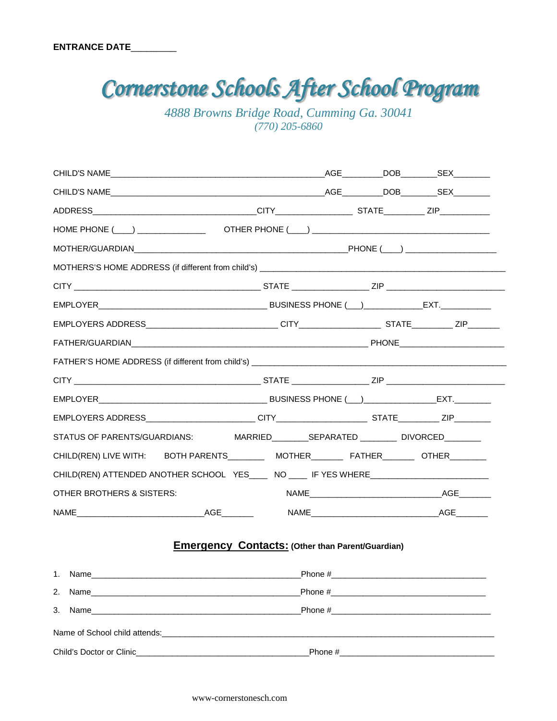*4888 Browns Bridge Road, Cumming Ga. 30041 (770) 205-6860*

| CHILD(REN) LIVE WITH: BOTH PARENTS________ MOTHER______ FATHER_______ OTHER_______ |                                                                                                                                                                                                                                           |                |  |  |  |  |  |
|------------------------------------------------------------------------------------|-------------------------------------------------------------------------------------------------------------------------------------------------------------------------------------------------------------------------------------------|----------------|--|--|--|--|--|
| CHILD(REN) ATTENDED ANOTHER SCHOOL YES____ NO ____ IF YES WHERE__________________  |                                                                                                                                                                                                                                           |                |  |  |  |  |  |
| <b>OTHER BROTHERS &amp; SISTERS:</b>                                               |                                                                                                                                                                                                                                           |                |  |  |  |  |  |
|                                                                                    |                                                                                                                                                                                                                                           |                |  |  |  |  |  |
|                                                                                    | <b>Emergency Contacts: (Other than Parent/Guardian)</b>                                                                                                                                                                                   |                |  |  |  |  |  |
| 1. Name                                                                            |                                                                                                                                                                                                                                           | $\_$ Phone $#$ |  |  |  |  |  |
| 2.                                                                                 | Phone #<br>Name and the contract of the contract of the contract of the contract of the contract of the contract of the contract of the contract of the contract of the contract of the contract of the contract of the contract of the c |                |  |  |  |  |  |
| 3.                                                                                 |                                                                                                                                                                                                                                           |                |  |  |  |  |  |
|                                                                                    |                                                                                                                                                                                                                                           |                |  |  |  |  |  |
| Child's Doctor or Clinic                                                           |                                                                                                                                                                                                                                           | Phone #        |  |  |  |  |  |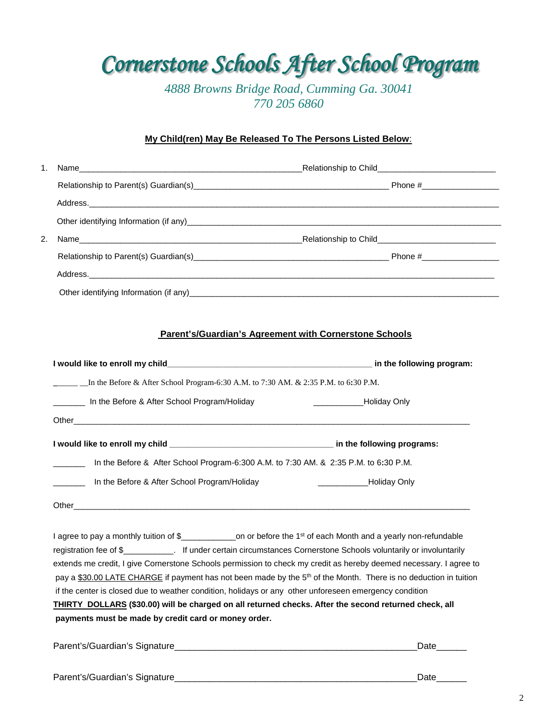*4888 Browns Bridge Road, Cumming Ga. 30041 770 205 6860*

#### **My Child(ren) May Be Released To The Persons Listed Below**:

| 1. |                                                                                                        |                                                                                                                                                                                                                                                         |  |  |
|----|--------------------------------------------------------------------------------------------------------|---------------------------------------------------------------------------------------------------------------------------------------------------------------------------------------------------------------------------------------------------------|--|--|
|    |                                                                                                        |                                                                                                                                                                                                                                                         |  |  |
|    |                                                                                                        |                                                                                                                                                                                                                                                         |  |  |
|    |                                                                                                        |                                                                                                                                                                                                                                                         |  |  |
| 2. |                                                                                                        | Name Relationship to Child <b>Child Child Child Child Child Child Child Child Child Child Child Child Child Child Child Child Child Child Child Child Child Child Child Child Ch</b>                                                                    |  |  |
|    |                                                                                                        |                                                                                                                                                                                                                                                         |  |  |
|    |                                                                                                        |                                                                                                                                                                                                                                                         |  |  |
|    |                                                                                                        |                                                                                                                                                                                                                                                         |  |  |
|    |                                                                                                        |                                                                                                                                                                                                                                                         |  |  |
|    |                                                                                                        | <b>Parent's/Guardian's Agreement with Cornerstone Schools</b>                                                                                                                                                                                           |  |  |
|    |                                                                                                        | I would like to enroll my child example the control of the following program:                                                                                                                                                                           |  |  |
|    |                                                                                                        |                                                                                                                                                                                                                                                         |  |  |
|    | In the Before & After School Program/Holiday                                                           | Holiday Only                                                                                                                                                                                                                                            |  |  |
|    |                                                                                                        |                                                                                                                                                                                                                                                         |  |  |
|    |                                                                                                        |                                                                                                                                                                                                                                                         |  |  |
|    | $\mathcal{L}^{\text{max}}_{\text{max}}$ , where $\mathcal{L}^{\text{max}}_{\text{max}}$                | In the Before & After School Program-6:300 A.M. to 7:30 AM. & 2:35 P.M. to 6:30 P.M.                                                                                                                                                                    |  |  |
|    | In the Before & After School Program/Holiday                                                           | Holiday Only                                                                                                                                                                                                                                            |  |  |
|    |                                                                                                        |                                                                                                                                                                                                                                                         |  |  |
|    |                                                                                                        |                                                                                                                                                                                                                                                         |  |  |
|    |                                                                                                        | I agree to pay a monthly tuition of \$_________________on or before the 1 <sup>st</sup> of each Month and a yearly non-refundable<br>registration fee of \$___________. If under certain circumstances Cornerstone Schools voluntarily or involuntarily |  |  |
|    |                                                                                                        | extends me credit, I give Cornerstone Schools permission to check my credit as hereby deemed necessary. I agree to<br>pay a \$30.00 LATE CHARGE if payment has not been made by the 5 <sup>th</sup> of the Month. There is no deduction in tuition      |  |  |
|    | if the center is closed due to weather condition, holidays or any other unforeseen emergency condition |                                                                                                                                                                                                                                                         |  |  |
|    | payments must be made by credit card or money order.                                                   | THIRTY DOLLARS (\$30.00) will be charged on all returned checks. After the second returned check, all                                                                                                                                                   |  |  |
|    |                                                                                                        |                                                                                                                                                                                                                                                         |  |  |
|    |                                                                                                        | Date______                                                                                                                                                                                                                                              |  |  |
|    |                                                                                                        |                                                                                                                                                                                                                                                         |  |  |
|    |                                                                                                        | Date______                                                                                                                                                                                                                                              |  |  |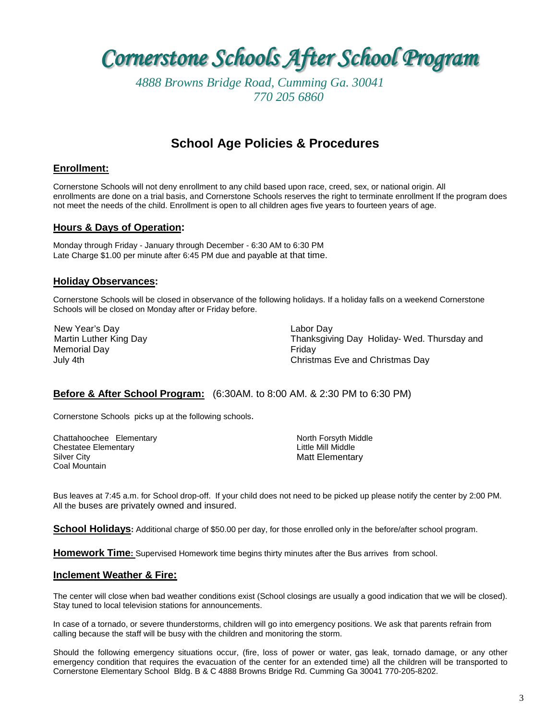*4888 Browns Bridge Road, Cumming Ga. 30041 770 205 6860*

# **School Age Policies & Procedures**

# **Enrollment:**

Cornerstone Schools will not deny enrollment to any child based upon race, creed, sex, or national origin. All enrollments are done on a trial basis, and Cornerstone Schools reserves the right to terminate enrollment If the program does not meet the needs of the child. Enrollment is open to all children ages five years to fourteen years of age.

# **Hours & Days of Operation:**

Monday through Friday - January through December - 6:30 AM to 6:30 PM Late Charge \$1.00 per minute after 6:45 PM due and payable at that time.

#### **Holiday Observances:**

Cornerstone Schools will be closed in observance of the following holidays. If a holiday falls on a weekend Cornerstone Schools will be closed on Monday after or Friday before.

 New Year's Day Martin Luther King Day Memorial Day July 4th

Labor Day Thanksgiving Day Holiday- Wed. Thursday and Friday Christmas Eve and Christmas Day

# **Before & After School Program:** (6:30AM. to 8:00 AM. & 2:30 PM to 6:30 PM)

Cornerstone Schools picks up at the following schools.

Chattahoochee Elementary Chestatee Elementary Silver City Coal Mountain

North Forsyth Middle Little Mill Middle Matt Elementary

Bus leaves at 7:45 a.m. for School drop-off. If your child does not need to be picked up please notify the center by 2:00 PM. All the buses are privately owned and insured.

**School Holidays:** Additional charge of \$50.00 per day, for those enrolled only in the before/after school program.

**Homework Time:** Supervised Homework time begins thirty minutes after the Bus arrives from school.

# **Inclement Weather & Fire:**

The center will close when bad weather conditions exist (School closings are usually a good indication that we will be closed). Stay tuned to local television stations for announcements.

In case of a tornado, or severe thunderstorms, children will go into emergency positions. We ask that parents refrain from calling because the staff will be busy with the children and monitoring the storm.

Should the following emergency situations occur, (fire, loss of power or water, gas leak, tornado damage, or any other emergency condition that requires the evacuation of the center for an extended time) all the children will be transported to Cornerstone Elementary School Bldg. B & C 4888 Browns Bridge Rd. Cumming Ga 30041 770-205-8202.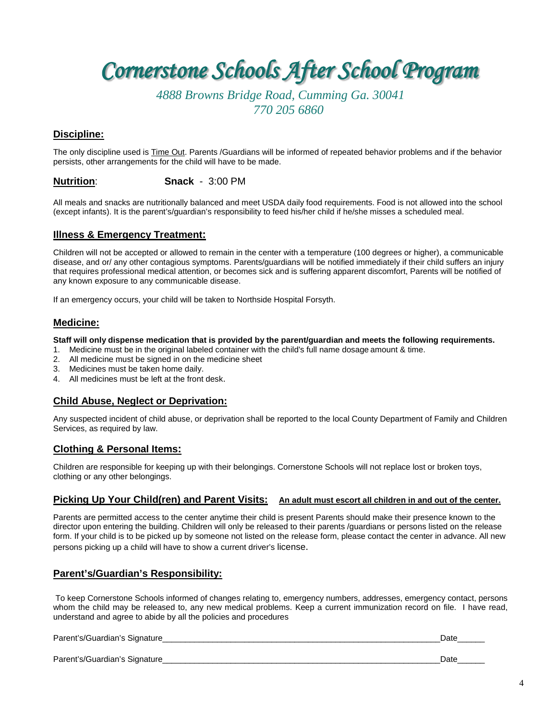*4888 Browns Bridge Road, Cumming Ga. 30041 770 205 6860*

# **Discipline:**

The only discipline used is Time Out. Parents /Guardians will be informed of repeated behavior problems and if the behavior persists, other arrangements for the child will have to be made.

#### **Nutrition**: **Snack** - 3:00 PM

All meals and snacks are nutritionally balanced and meet USDA daily food requirements. Food is not allowed into the school (except infants). It is the parent's/guardian's responsibility to feed his/her child if he/she misses a scheduled meal.

# **Illness & Emergency Treatment:**

Children will not be accepted or allowed to remain in the center with a temperature (100 degrees or higher), a communicable disease, and or/ any other contagious symptoms. Parents/guardians will be notified immediately if their child suffers an injury that requires professional medical attention, or becomes sick and is suffering apparent discomfort, Parents will be notified of any known exposure to any communicable disease.

If an emergency occurs, your child will be taken to Northside Hospital Forsyth.

# **Medicine:**

**Staff will only dispense medication that is provided by the parent/guardian and meets the following requirements.**

- 1. Medicine must be in the original labeled container with the child's full name dosage amount & time.
- 2. All medicine must be signed in on the medicine sheet
- 3. Medicines must be taken home daily.
- 4. All medicines must be left at the front desk.

# **Child Abuse, Neglect or Deprivation:**

Any suspected incident of child abuse, or deprivation shall be reported to the local County Department of Family and Children Services, as required by law.

# **Clothing & Personal Items:**

Children are responsible for keeping up with their belongings. Cornerstone Schools will not replace lost or broken toys, clothing or any other belongings.

# **Picking Up Your Child(ren) and Parent Visits: An adult must escort all children in and out of the center.**

Parents are permitted access to the center anytime their child is present Parents should make their presence known to the director upon entering the building. Children will only be released to their parents /guardians or persons listed on the release form. If your child is to be picked up by someone not listed on the release form, please contact the center in advance. All new persons picking up a child will have to show a current driver's license.

# **Parent's/Guardian's Responsibility:**

To keep Cornerstone Schools informed of changes relating to, emergency numbers, addresses, emergency contact, persons whom the child may be released to, any new medical problems. Keep a current immunization record on file. I have read, understand and agree to abide by all the policies and procedures

| Parent's/Guardian's Signature_ | Date |
|--------------------------------|------|
| Parent's/Guardian's Signature_ | Date |